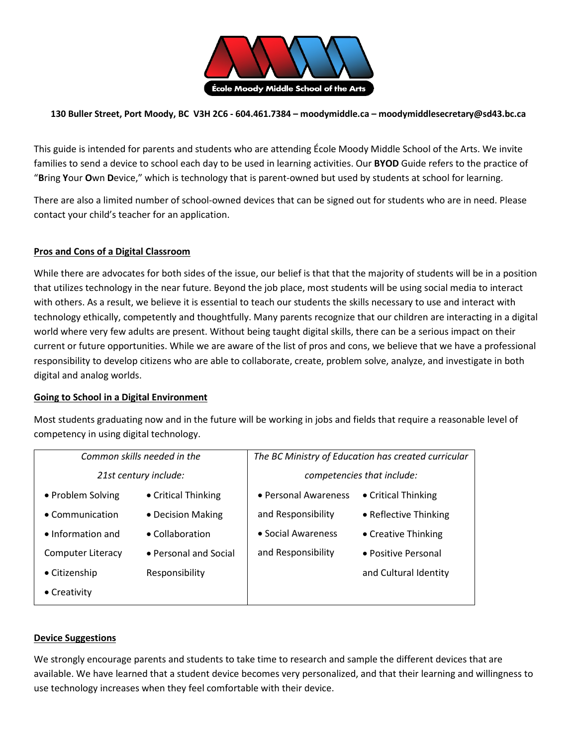

### **130 Buller Street, Port Moody, BC V3H 2C6 - 604.461.7384 – moodymiddle.ca – moodymiddlesecretary@sd43.bc.ca**

This guide is intended for parents and students who are attending École Moody Middle School of the Arts. We invite families to send a device to school each day to be used in learning activities. Our **BYOD** Guide refers to the practice of "**B**ring **Y**our **O**wn **D**evice," which is technology that is parent-owned but used by students at school for learning.

There are also a limited number of school-owned devices that can be signed out for students who are in need. Please contact your child's teacher for an application.

### **Pros and Cons of a Digital Classroom**

While there are advocates for both sides of the issue, our belief is that that the majority of students will be in a position that utilizes technology in the near future. Beyond the job place, most students will be using social media to interact with others. As a result, we believe it is essential to teach our students the skills necessary to use and interact with technology ethically, competently and thoughtfully. Many parents recognize that our children are interacting in a digital world where very few adults are present. Without being taught digital skills, there can be a serious impact on their current or future opportunities. While we are aware of the list of pros and cons, we believe that we have a professional responsibility to develop citizens who are able to collaborate, create, problem solve, analyze, and investigate in both digital and analog worlds.

#### **Going to School in a Digital Environment**

Most students graduating now and in the future will be working in jobs and fields that require a reasonable level of competency in using digital technology.

| Common skills needed in the |                         | The BC Ministry of Education has created curricular |                       |
|-----------------------------|-------------------------|-----------------------------------------------------|-----------------------|
| 21st century include:       |                         | competencies that include:                          |                       |
| • Problem Solving           | • Critical Thinking     | • Personal Awareness                                | • Critical Thinking   |
| $\bullet$ Communication     | • Decision Making       | and Responsibility                                  | • Reflective Thinking |
| $\bullet$ Information and   | $\bullet$ Collaboration | • Social Awareness                                  | • Creative Thinking   |
| Computer Literacy           | • Personal and Social   | and Responsibility                                  | • Positive Personal   |
| • Citizenship               | Responsibility          |                                                     | and Cultural Identity |
| $\bullet$ Creativity        |                         |                                                     |                       |

#### **Device Suggestions**

We strongly encourage parents and students to take time to research and sample the different devices that are available. We have learned that a student device becomes very personalized, and that their learning and willingness to use technology increases when they feel comfortable with their device.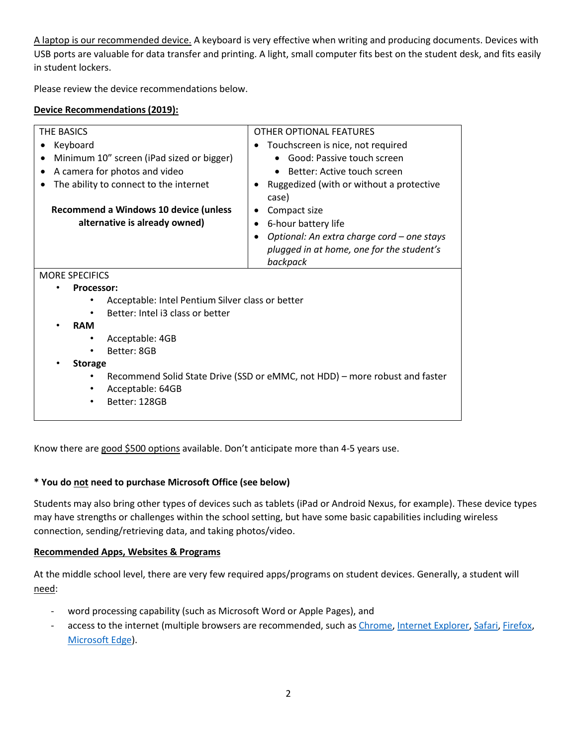A laptop is our recommended device. A keyboard is very effective when writing and producing documents. Devices with USB ports are valuable for data transfer and printing. A light, small computer fits best on the student desk, and fits easily in student lockers.

Please review the device recommendations below.

## **Device Recommendations (2019):**

| <b>THE BASICS</b>                                                           | <b>OTHER OPTIONAL FEATURES</b>                          |  |  |
|-----------------------------------------------------------------------------|---------------------------------------------------------|--|--|
| Keyboard                                                                    | Touchscreen is nice, not required                       |  |  |
| Minimum 10" screen (iPad sized or bigger)                                   | Good: Passive touch screen                              |  |  |
| A camera for photos and video                                               | Better: Active touch screen                             |  |  |
| The ability to connect to the internet                                      | Ruggedized (with or without a protective<br>case)       |  |  |
| <b>Recommend a Windows 10 device (unless</b>                                | Compact size<br>٠                                       |  |  |
| alternative is already owned)                                               | 6-hour battery life<br>$\bullet$                        |  |  |
|                                                                             | Optional: An extra charge cord - one stays<br>$\bullet$ |  |  |
|                                                                             | plugged in at home, one for the student's               |  |  |
|                                                                             | backpack                                                |  |  |
| <b>MORE SPECIFICS</b>                                                       |                                                         |  |  |
| <b>Processor:</b>                                                           |                                                         |  |  |
| Acceptable: Intel Pentium Silver class or better                            |                                                         |  |  |
| Better: Intel i3 class or better                                            |                                                         |  |  |
| <b>RAM</b>                                                                  |                                                         |  |  |
| Acceptable: 4GB                                                             |                                                         |  |  |
| Better: 8GB                                                                 |                                                         |  |  |
| <b>Storage</b>                                                              |                                                         |  |  |
| Recommend Solid State Drive (SSD or eMMC, not HDD) – more robust and faster |                                                         |  |  |
| Acceptable: 64GB                                                            |                                                         |  |  |
| Better: 128GB                                                               |                                                         |  |  |
|                                                                             |                                                         |  |  |

Know there are good \$500 options available. Don't anticipate more than 4-5 years use.

# **\* You do not need to purchase Microsoft Office (see below)**

Students may also bring other types of devices such as tablets (iPad or Android Nexus, for example). These device types may have strengths or challenges within the school setting, but have some basic capabilities including wireless connection, sending/retrieving data, and taking photos/video.

### **Recommended Apps, Websites & Programs**

At the middle school level, there are very few required apps/programs on student devices. Generally, a student will need:

- word processing capability (such as Microsoft Word or Apple Pages), and
- access to the internet (multiple browsers are recommended, such as [Chrome,](https://www.google.com/chrome/browser/desktop/index.html) [Internet Explorer,](https://www.microsoft.com/en-ca/download/internet-explorer.aspx) [Safari,](https://support.apple.com/downloads/safari) [Firefox,](https://www.mozilla.org/en-US/firefox/) [Microsoft Edge\)](https://www.microsoft.com/en-ca/windows/microsoft-edge).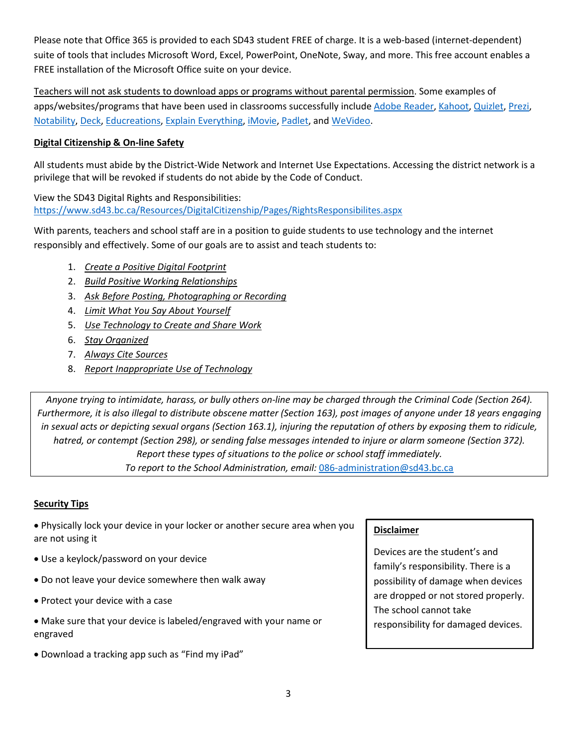Please note that Office 365 is provided to each SD43 student FREE of charge. It is a web-based (internet-dependent) suite of tools that includes Microsoft Word, Excel, PowerPoint, OneNote, Sway, and more. This free account enables a FREE installation of the Microsoft Office suite on your device.

Teachers will not ask students to download apps or programs without parental permission. Some examples of apps/websites/programs that have been used in classrooms successfully include [Adobe Reader,](https://get.adobe.com/reader/) [Kahoot,](https://kahoot.com/what-is-kahoot/) [Quizlet,](https://quizlet.com/) [Prezi,](https://prezi.com/) [Notability,](http://gingerlabs.com/) [Deck,](http://www.deck.in/) [Educreations,](https://www.educreations.com/) [Explain Everything,](https://explaineverything.com/) [iMovie,](https://www.apple.com/ca/imovie/) [Padlet,](https://padlet.com/) and [WeVideo.](https://www.wevideo.com/)

# **Digital Citizenship & On-line Safety**

All students must abide by the District-Wide Network and Internet Use Expectations. Accessing the district network is a privilege that will be revoked if students do not abide by the Code of Conduct.

View the SD43 Digital Rights and Responsibilities: <https://www.sd43.bc.ca/Resources/DigitalCitizenship/Pages/RightsResponsibilites.aspx>

With parents, teachers and school staff are in a position to guide students to use technology and the internet responsibly and effectively. Some of our goals are to assist and teach students to:

- 1. *Create a Positive Digital Footprint*
- 2. *Build Positive Working Relationships*
- 3. *Ask Before Posting, Photographing or Recording*
- 4. *Limit What You Say About Yourself*
- 5. *Use Technology to Create and Share Work*
- 6. *Stay Organized*
- 7. *Always Cite Sources*
- 8. *Report Inappropriate Use of Technology*

*Anyone trying to intimidate, harass, or bully others on-line may be charged through the Criminal Code (Section 264). Furthermore, it is also illegal to distribute obscene matter (Section 163), post images of anyone under 18 years engaging in sexual acts or depicting sexual organs (Section 163.1), injuring the reputation of others by exposing them to ridicule,*  hatred, or contempt (Section 298), or sending false messages intended to injure or alarm someone (Section 372). *Report these types of situations to the police or school staff immediately. To report to the School Administration, email:* [086-administration@sd43.bc.ca](mailto:086-administration@sd43.bc.ca)

# **Security Tips**

• Physically lock your device in your locker or another secure area when you are not using it

- Use a keylock/password on your device
- Do not leave your device somewhere then walk away
- Protect your device with a case
- Make sure that your device is labeled/engraved with your name or engraved
- Download a tracking app such as "Find my iPad"

### **Disclaimer**

Devices are the student's and family's responsibility. There is a possibility of damage when devices are dropped or not stored properly. The school cannot take responsibility for damaged devices.